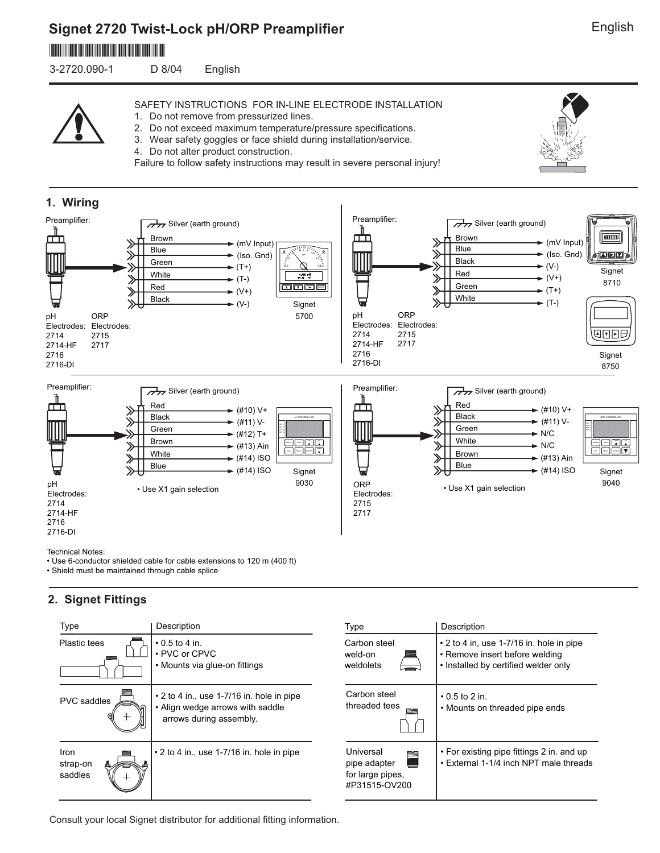# **Signet 2720 Twist-Lock pH/ORP Preamplifier** \*3-2720.090-1\*

3-2720.090-1 D 8/04 English

SAFETY INSTRUCTIONS FOR IN-LINE ELECTRODE INSTALLATION

- 1. Do not remove from pressurized lines.
- 2. Do not exceed maximum temperature/pressure specifications.
- 3. Wear safety goggles or face shield during installation/service.
- 4. Do not alter product construction.

Failure to follow safety instructions may result in severe personal injury!



• Use 6-conductor shielded cable for cable extensions to 120 m (400 ft) • Shield must be maintained through cable splice

## **2. Signet Fittings**

| Type                        | Description                                                                                                    | Type                                                                | Description                                                                                                              |
|-----------------------------|----------------------------------------------------------------------------------------------------------------|---------------------------------------------------------------------|--------------------------------------------------------------------------------------------------------------------------|
| Plastic tees                | $\cdot$ 0.5 to 4 in.<br>• PVC or CPVC<br>• Mounts via glue-on fittings                                         | Carbon steel<br>weld-on<br>weldolets                                | $\cdot$ 2 to 4 in, use 1-7/16 in. hole in pipe<br>• Remove insert before welding<br>. Installed by certified welder only |
| <b>PVC</b> saddles          | $\cdot$ 2 to 4 in., use 1-7/16 in. hole in pipe<br>• Align wedge arrows with saddle<br>arrows during assembly. | Carbon steel<br>threaded tees                                       | $\cdot$ 0.5 to 2 in.<br>• Mounts on threaded pipe ends                                                                   |
| Iron<br>strap-on<br>saddles | $\cdot$ 2 to 4 in., use 1-7/16 in. hole in pipe                                                                | Universal<br>≊<br>pipe adapter<br>for large pipes,<br>#P31515-OV200 | • For existing pipe fittings 2 in. and up<br>• External 1-1/4 inch NPT male threads                                      |

Consult your local Signet distributor for additional fitting information.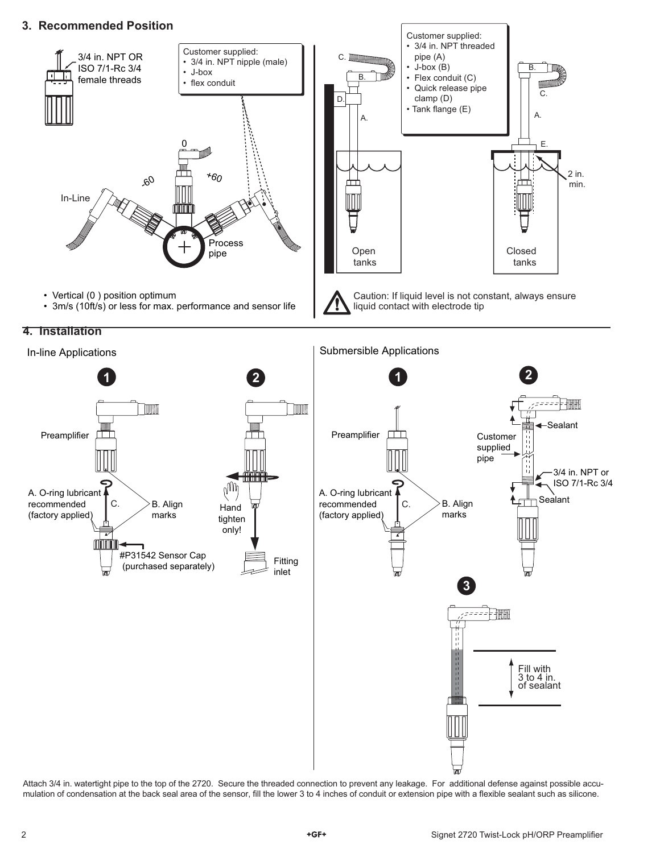### **3. Recommended Position**





Attach 3/4 in. watertight pipe to the top of the 2720. Secure the threaded connection to prevent any leakage. For additional defense against possible accumulation of condensation at the back seal area of the sensor, fill the lower 3 to 4 inches of conduit or extension pipe with a flexible sealant such as silicone.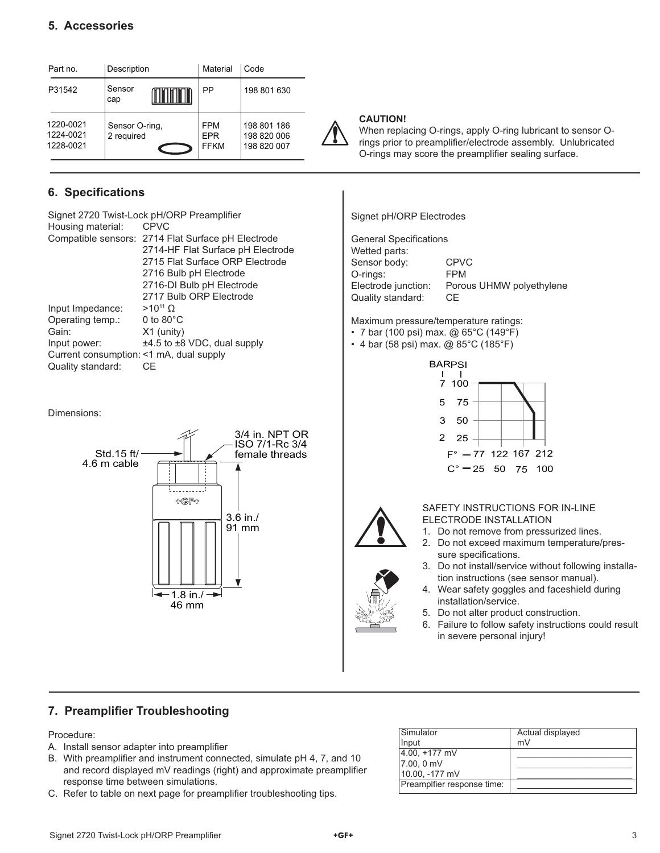| Part no.                            | Description                  |  | Material                                | l Code                                    |
|-------------------------------------|------------------------------|--|-----------------------------------------|-------------------------------------------|
| P31542                              | Sensor<br>cap                |  | РP                                      | 198 801 630                               |
| 1220-0021<br>1224-0021<br>1228-0021 | Sensor O-ring,<br>2 required |  | <b>FPM</b><br><b>EPR</b><br><b>FFKM</b> | 198 801 186<br>198 820 006<br>198 820 007 |

# **6.** Specifications

|                                         | Signet 2720 Twist-Lock pH/ORP Preamplifier         |
|-----------------------------------------|----------------------------------------------------|
| Housing material:                       | <b>CPVC</b>                                        |
|                                         | Compatible sensors: 2714 Flat Surface pH Electrode |
|                                         | 2714-HF Flat Surface pH Electrode                  |
|                                         | 2715 Flat Surface ORP Flectrode                    |
|                                         | 2716 Bulb pH Electrode                             |
|                                         | 2716-DI Bulb pH Electrode                          |
|                                         | 2717 Bulb ORP Electrode                            |
| Input Impedance:                        | $>10^{11}$ O                                       |
| Operating temp.:                        | 0 to $80^{\circ}$ C                                |
| Gain:                                   | $X1$ (unity)                                       |
| Input power:                            | $\pm 4.5$ to $\pm 8$ VDC, dual supply              |
| Current consumption: <1 mA, dual supply |                                                    |
| Quality standard:                       | СF                                                 |
|                                         |                                                    |

Dimensions:



#### **CAUTION!**

When replacing O-rings, apply O-ring lubricant to sensor Orings prior to preamplifier/electrode assembly. Unlubricated O-rings may score the preamplifier sealing surface.

Signet pH/ORP Electrodes

| <b>General Specifications</b> |                          |
|-------------------------------|--------------------------|
| Wetted parts:                 |                          |
| Sensor body:                  | <b>CPVC</b>              |
| O-rings:                      | <b>FPM</b>               |
| Electrode junction:           | Porous UHMW polyethylene |
| Quality standard:             | CE.                      |
|                               |                          |

Maximum pressure/temperature ratings:

- 7 bar (100 psi) max. @ 65°C (149°F)
- 4 bar (58 psi) max. @ 85°C (185°F)





SAFETY INSTRUCTIONS FOR IN-LINE ELECTRODE INSTALLATION

- 1. Do not remove from pressurized lines.
- 2. Do not exceed maximum temperature/pressure specifications.
- 3. Do not install/service without following installation instructions (see sensor manual).
- 4. Wear safety goggles and faceshield during installation/service.
- 5. Do not alter product construction.
- 6. Failure to follow safety instructions could result in severe personal injury!

## **7. Preamplifier Troubleshooting**

Procedure:

- A. Install sensor adapter into preamplifier
- B. With preamplifier and instrument connected, simulate pH 4, 7, and 10 and record displayed mV readings (right) and approximate preamplifier response time between simulations.
- C. Refer to table on next page for preamplifier troubleshooting tips.

| Simulator                  | Actual displayed |
|----------------------------|------------------|
| Input                      | mV               |
| $4.00, +177$ mV            |                  |
| 7.00, 0 mV                 |                  |
| 10.00, -177 mV             |                  |
| Preamplfier response time: |                  |
|                            |                  |